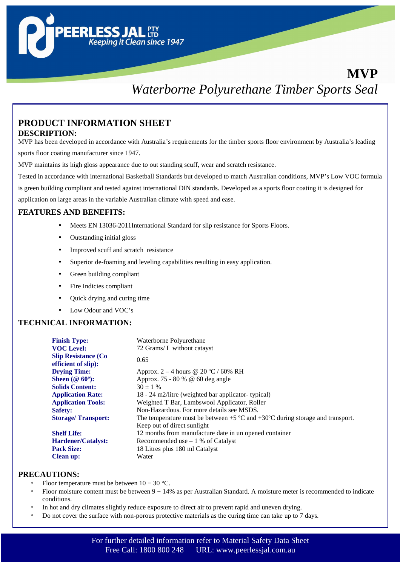# **MVP** *Waterborne Polyurethane Timber Sports Seal*

## **PRODUCT INFORMATION SHEET DESCRIPTION:**

**PEERLESS.** 

MVP has been developed in accordance with Australia's requirements for the timber sports floor environment by Australia's leading sports floor coating manufacturer since 1947.

MVP maintains its high gloss appearance due to out standing scuff, wear and scratch resistance.

**LESS JAL**<br>TIP<br>Keeping it Clean since 1947

Tested in accordance with international Basketball Standards but developed to match Australian conditions, MVP's Low VOC formula

is green building compliant and tested against international DIN standards. Developed as a sports floor coating it is designed for

application on large areas in the variable Australian climate with speed and ease.

#### **FEATURES AND BENEFITS:**

- Meets EN 13036-2011International Standard for slip resistance for Sports Floors.
- Outstanding initial gloss
- Improved scuff and scratch resistance
- Superior de-foaming and leveling capabilities resulting in easy application.
- Green building compliant
- Fire Indicies compliant
- Quick drying and curing time
- Low Odour and VOC's

#### **TECHNICAL INFORMATION:**

| <b>Finish Type:</b>        | Waterborne Polyurethane                                                            |
|----------------------------|------------------------------------------------------------------------------------|
| <b>VOC Level:</b>          | 72 Grams/L without catayst                                                         |
| <b>Slip Resistance (Co</b> | 0.65                                                                               |
| efficient of slip):        |                                                                                    |
| <b>Drying Time:</b>        | Approx. $2-4$ hours @ 20 °C / 60% RH                                               |
| Sheen ( $@60^\circ$ ):     | Approx. 75 - 80 % @ 60 deg angle                                                   |
| <b>Solids Content:</b>     | $30 \pm 1$ %                                                                       |
| <b>Application Rate:</b>   | 18 - 24 m2/litre (weighted bar applicator- typical)                                |
| <b>Application Tools:</b>  | Weighted T Bar, Lambswool Applicator, Roller                                       |
| <b>Safety:</b>             | Non-Hazardous. For more details see MSDS.                                          |
| <b>Storage/Transport:</b>  | The temperature must be between $+5$ °C and $+30$ °C during storage and transport. |
|                            | Keep out of direct sunlight                                                        |
| <b>Shelf Life:</b>         | 12 months from manufacture date in un opened container                             |
| <b>Hardener/Catalyst:</b>  | Recommended use $-1$ % of Catalyst                                                 |
| <b>Pack Size:</b>          | 18 Litres plus 180 ml Catalyst                                                     |
| <b>Clean up:</b>           | Water                                                                              |

## **PRECAUTIONS:**

- Floor temperature must be between  $10 30$  °C.
- Floor moisture content must be between 9 − 14% as per Australian Standard. A moisture meter is recommended to indicate conditions.
- In hot and dry climates slightly reduce exposure to direct air to prevent rapid and uneven drying.
- Do not cover the surface with non-porous protective materials as the curing time can take up to 7 days.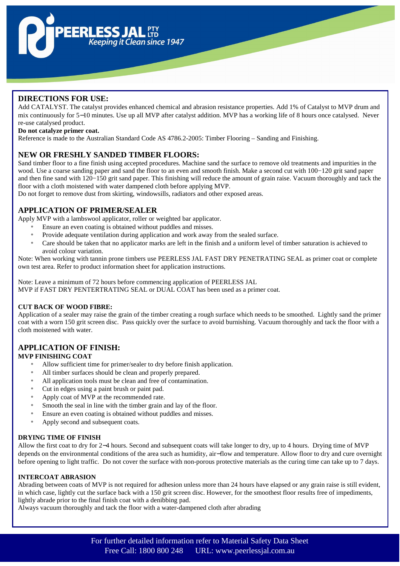

## **DIRECTIONS FOR USE:**

Add CATALYST. The catalyst provides enhanced chemical and abrasion resistance properties. Add 1% of Catalyst to MVP drum and mix continuously for 5−10 minutes. Use up all MVP after catalyst addition. MVP has a working life of 8 hours once catalysed. Never re-use catalysed product.

#### **Do not catalyze primer coat.**

Reference is made to the Australian Standard Code AS 4786.2-2005: Timber Flooring – Sanding and Finishing.

## **NEW OR FRESHLY SANDED TIMBER FLOORS:**

Sand timber floor to a fine finish using accepted procedures. Machine sand the surface to remove old treatments and impurities in the wood. Use a coarse sanding paper and sand the floor to an even and smooth finish. Make a second cut with 100−120 grit sand paper and then fine sand with 120−150 grit sand paper. This finishing will reduce the amount of grain raise. Vacuum thoroughly and tack the floor with a cloth moistened with water dampened cloth before applying MVP.

Do not forget to remove dust from skirting, windowsills, radiators and other exposed areas.

## **APPLICATION OF PRIMER/SEALER**

Apply MVP with a lambswool applicator, roller or weighted bar applicator.

- Ensure an even coating is obtained without puddles and misses.
- Provide adequate ventilation during application and work away from the sealed surface.
- Care should be taken that no applicator marks are left in the finish and a uniform level of timber saturation is achieved to avoid colour variation.

Note: When working with tannin prone timbers use PEERLESS JAL FAST DRY PENETRATING SEAL as primer coat or complete own test area. Refer to product information sheet for application instructions.

Note: Leave a minimum of 72 hours before commencing application of PEERLESS JAL

MVP if FAST DRY PENTERTRATING SEAL or DUAL COAT has been used as a primer coat.

#### **CUT BACK OF WOOD FIBRE:**

Application of a sealer may raise the grain of the timber creating a rough surface which needs to be smoothed. Lightly sand the primer coat with a worn 150 grit screen disc. Pass quickly over the surface to avoid burnishing. Vacuum thoroughly and tack the floor with a cloth moistened with water.

# **APPLICATION OF FINISH:**

#### **MVP FINISHING COAT**

- Allow sufficient time for primer/sealer to dry before finish application.
- All timber surfaces should be clean and properly prepared.
- All application tools must be clean and free of contamination.
- Cut in edges using a paint brush or paint pad.
- Apply coat of MVP at the recommended rate.
- Smooth the seal in line with the timber grain and lay of the floor.
- Ensure an even coating is obtained without puddles and misses.
- Apply second and subsequent coats.

#### **DRYING TIME OF FINISH**

Allow the first coat to dry for 2−4 hours. Second and subsequent coats will take longer to dry, up to 4 hours. Drying time of MVP depends on the environmental conditions of the area such as humidity, air−flow and temperature. Allow floor to dry and cure overnight before opening to light traffic. Do not cover the surface with non-porous protective materials as the curing time can take up to 7 days.

#### **INTERCOAT ABRASION**

Abrading between coats of MVP is not required for adhesion unless more than 24 hours have elapsed or any grain raise is still evident, in which case, lightly cut the surface back with a 150 grit screen disc. However, for the smoothest floor results free of impediments, lightly abrade prior to the final finish coat with a denibbing pad.

Always vacuum thoroughly and tack the floor with a water-dampened cloth after abrading